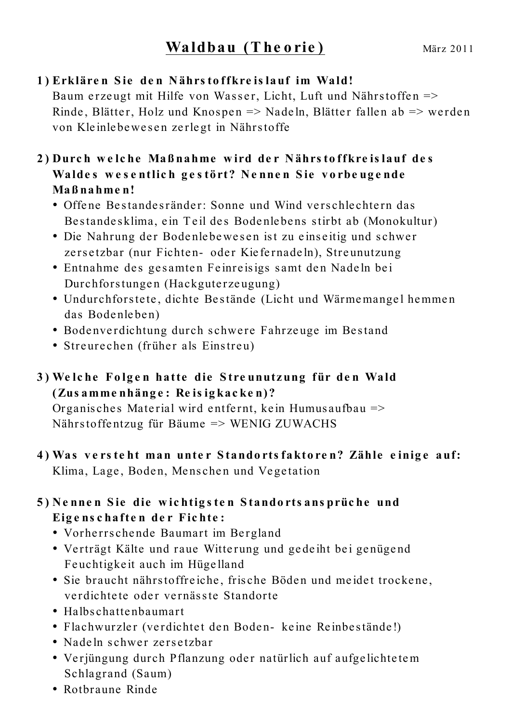## 1) Erklären Sie den Nährstoffkreislauf im Wald!

Baum erzeugt mit Hilfe von Wasser, Licht, Luft und Nährstoffen => Rinde, Blätter, Holz und Knospen => Nadeln, Blätter fallen ab => werden von Kleinlebewesen zerlegt in Nährstoffe

## 2) Durch welche Maßnahme wird der Nährstoffkreislauf des Waldes wesentlich gestört? Nennen Sie vorbeugende Maßnahmen!

- Offene Bestandesränder: Sonne und Wind verschlechtern das Bestandesklima, ein Teil des Bodenlebens stirbt ab (Monokultur)
- · Die Nahrung der Bodenlebewesen ist zu einseitig und schwer zersetzbar (nur Fichten- oder Kiefernadeln), Streunutzung
- Entnahme des gesamten Feinreisigs samt den Nadeln bei Durchforstungen (Hackguterzeugung)
- Undurchforstete, dichte Bestände (Licht und Wärmemangel hemmen das Bodenleben)
- Bodenverdichtung durch schwere Fahrzeuge im Bestand
- Streurechen (früher als Einstreu)
- 3) Welche Folgen hatte die Streunutzung für den Wald (Zusammenhänge: Reisigkacken)?

Organisches Material wird entfernt, kein Humusaufbau => Nährstoffentzug für Bäume => WENIG ZUWACHS

4) Was versteht man unter Standortsfaktoren? Zähle einige auf: Klima, Lage, Boden, Menschen und Vegetation

## 5) Nennen Sie die wichtigsten Standortsansprüche und Eigenschaften der Fichte:

- Vorherrschende Baumart im Bergland
- Verträgt Kälte und raue Witterung und gedeiht bei genügend Feuchtigkeit auch im Hügelland
- · Sie braucht nährstoffreiche, frische Böden und meidet trockene, verdichtete oder vernässte Standorte
- Halbschattenbaumart
- Flachwurzler (verdichtet den Boden- keine Reinbestände!)
- Nadeln schwer zersetzbar
- Verjüngung durch Pflanzung oder natürlich auf aufgelichtetem Schlagrand (Saum)
- Rothraune Rinde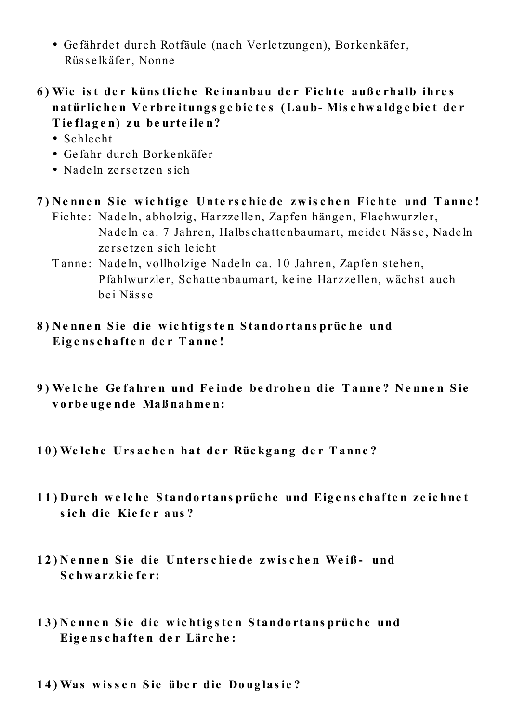- Gefährdet durch Rotfäule (nach Verletzungen), Borkenkäfer, Rüsselkäfer, Nonne
- 6) Wie ist der künstliche Reinanbau der Fichte außerhalb ihres natürlichen Verbreitungsgebietes (Laub-Mischwaldgebiet der Tieflagen) zu beurteilen?
	- $\bullet$  Schlecht
	- Gefahr durch Borkenkäfer
	- Nadeln zersetzen sich
- 7) Nennen Sie wichtige Unterschiede zwischen Fichte und Tanne! Fichte: Nadeln, abholzig, Harzzellen, Zapfen hängen, Flachwurzler,
	- Nadeln ca. 7 Jahren, Halbschattenbaumart, meidet Nässe, Nadeln zersetzen sich leicht
	- Tanne: Nadeln, vollholzige Nadeln ca. 10 Jahren, Zapfen stehen, Pfahlwurzler, Schattenbaumart, keine Harzzellen, wächst auch hei Nässe
- 8) Nennen Sie die wichtigsten Standortansprüche und Eigenschaften der Tanne!
- 9) Welche Gefahren und Feinde bedrohen die Tanne? Nennen Sie vorbeugende Maßnahmen:
- 10) Welche Ursachen hat der Rückgang der Tanne?
- 11) Durch welche Standortansprüche und Eigenschaften zeichnet sich die Kiefer aus?
- 12) Nennen Sie die Unterschiede zwischen Weiß- und Schwarzkiefer:
- 13) Nennen Sie die wichtigsten Standortansprüche und Eigenschaften der Lärche:
- 14) Was wissen Sie über die Douglasie?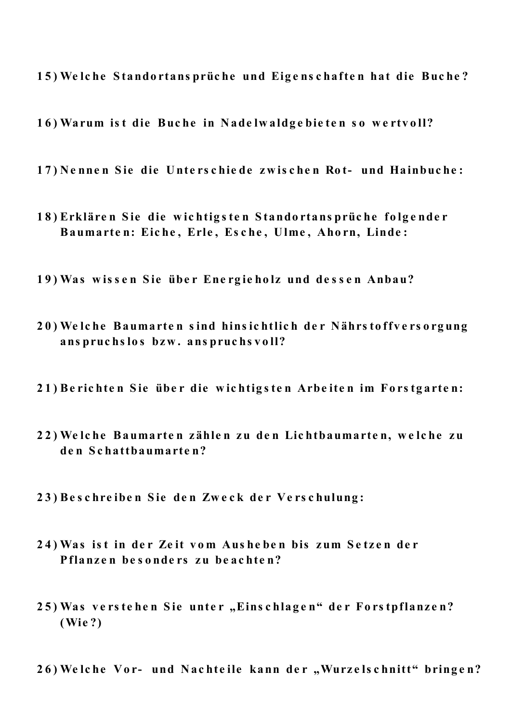15) Welche Standortansprüche und Eigenschaften hat die Buche?

16) Warum ist die Buche in Nadelwaldgebieten so wertvoll?

17) Nennen Sie die Unterschiede zwischen Rot- und Hainbuche:

- 18) Erklären Sie die wichtigsten Standortansprüche folgender Baumarten: Eiche, Erle, Esche, Ulme, Ahorn, Linde:
- 19) Was wissen Sie über Energieholz und dessen Anbau?
- 20) Welche Baumarten sind hinsichtlich der Nährstoffversorgung anspruchslos bzw. anspruchsvoll?
- 21) Berichten Sie über die wichtigsten Arbeiten im Forstgarten:
- 22) Welche Baumarten zählen zu den Lichtbaumarten, welche zu den Schatthaumarten?
- 23) Beschreiben Sie den Zweck der Verschulung:
- 24) Was ist in der Zeit vom Ausheben bis zum Setzen der Pflanzen besonders zu beachten?
- 25) Was verstehen Sie unter "Einschlagen" der Forstpflanzen?  $(Wie?)$
- 26) Welche Vor- und Nachteile kann der "Wurzelschnitt" bringen?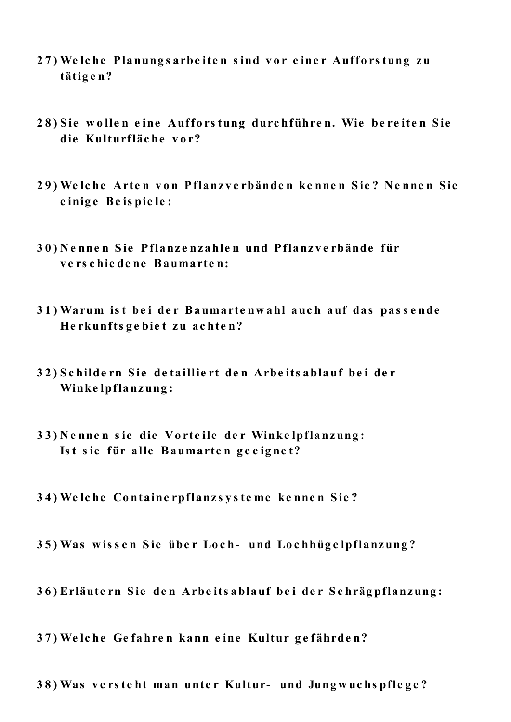- 27) Welche Planungsarbeiten sind vor einer Aufforstung zu tätigen?
- 28) Sie wollen eine Aufforstung durchführen. Wie bereiten Sie die Kulturfläche vor?
- 29) Welche Arten von Pflanzverbänden kennen Sie? Nennen Sie einige Beispiele:
- 30) Nennen Sie Pflanzenzahlen und Pflanzverbände für verschiedene Baumarten:
- 31) Warum ist bei der Baumartenwahl auch auf das passende Herkunftsgebiet zu achten?
- 32) Schildern Sie detailliert den Arbeitsablauf bei der Winkelpflanzung:
- 33) Nennen sie die Vorteile der Winkelpflanzung: Ist sie für alle Baumarten geeignet?
- 34) Welche Containerpflanzsysteme kennen Sie?
- 35) Was wissen Sie über Loch- und Lochhügelpflanzung?
- 36) Erläutern Sie den Arbeitsablauf bei der Schrägpflanzung:
- 37) Welche Gefahren kann eine Kultur gefährden?
- 38) Was versteht man unter Kultur- und Jungwuchspflege?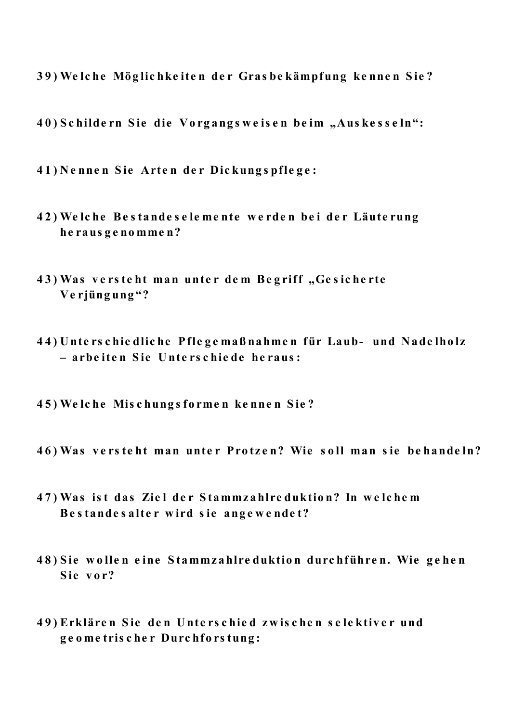39) Welche Möglichkeiten der Grasbekämpfung kennen Sie?

40) Schildern Sie die Vorgangsweisen beim "Auskesseln":

41) Nennen Sie Arten der Dickungspflege:

- 42) Welche Bestandeselemente werden bei der Läuterung herausgenommen?
- 43) Was versteht man unter dem Begriff, Gesicherte Verjüngung"?
- 44) Unterschiedliche Pflegemaßnahmen für Laub- und Nadelholz - arbeiten Sie Unterschiede heraus:
- 45) Welche Mischungsformen kennen Sie?
- 46) Was versteht man unter Protzen? Wie soll man sie behandeln?
- 47) Was ist das Ziel der Stammzahlreduktion? In welchem Bestandesalter wird sie angewendet?
- 48) Sie wollen eine Stammzahlreduktion durchführen. Wie gehen Sie vor?
- 49) Erklären Sie den Unterschied zwischen selektiver und geometrischer Durchforstung: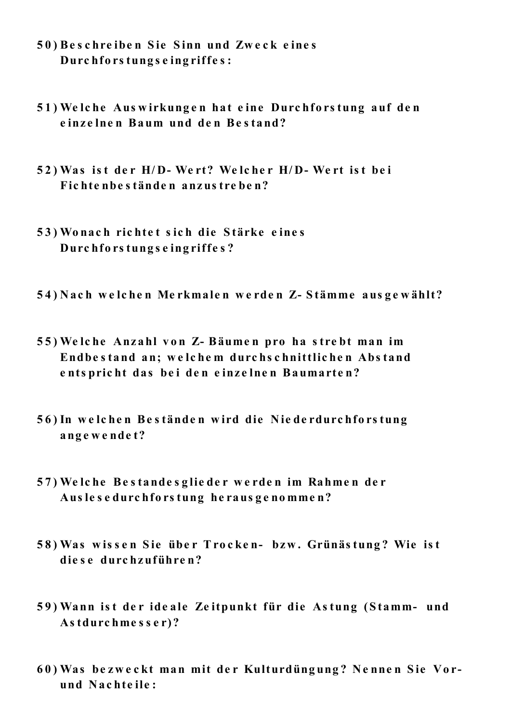- 50) Beschreiben Sie Sinn und Zweck eines Durchforstungseingriffes:
- 51) Welche Auswirkungen hat eine Durchforstung auf den einzelnen Baum und den Bestand?
- 52) Was ist der H/D-Wert? Welcher H/D-Wert ist bei Fichtenbeständen anzustreben?
- 53) Wonach richtet sich die Stärke eines Durchforstungseingriffes?
- 54) Nach welchen Merkmalen werden Z-Stämme ausgewählt?
- 55) Welche Anzahl von Z- Bäumen pro ha strebt man im Endbestand an; welchem durchschnittlichen Abstand entspricht das bei den einzelnen Baumarten?
- 56) In welchen Beständen wird die Niederdurchforstung angewendet?
- 57) Welche Bestandesglieder werden im Rahmen der Auslesedurchforstung herausgenommen?
- 58) Was wissen Sie über Trocken- bzw. Grünästung? Wie ist diese durchzuführen?
- 59) Wann ist der ideale Zeitpunkt für die Astung (Stamm- und Astdurchmesser)?
- 60) Was bezweckt man mit der Kulturdüngung? Nennen Sie Vorund Nachteile: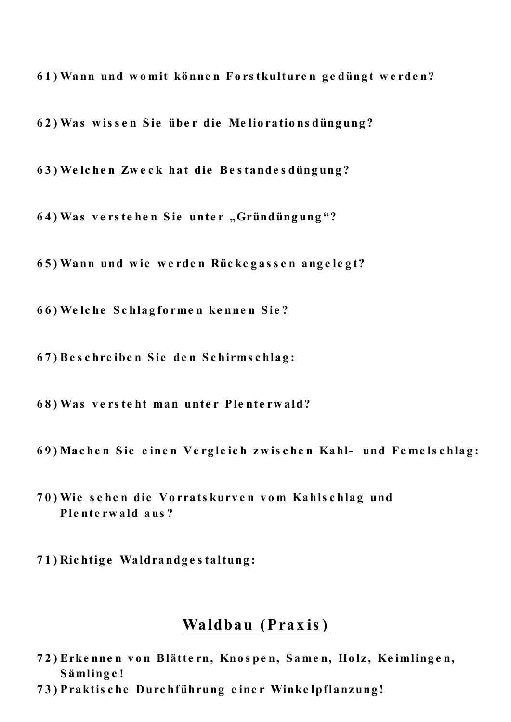61) Wann und womit können Forstkulturen gedüngt werden?

62) Was wissen Sie über die Meliorationsdüngung?

63) Welchen Zweck hat die Bestandesdüngung?

64) Was verstehen Sie unter "Gründüngung"?

65) Wann und wie werden Rückegassen angelegt?

66) Welche Schlagformen kennen Sie?

67) Beschreiben Sie den Schirmschlag:

68) Was versteht man unter Plenterwald?

69) Machen Sie einen Vergleich zwischen Kahl- und Femelschlag:

70) Wie sehen die Vorratskurven vom Kahlschlag und Plenterwald aus?

71) Richtige Waldrandgestaltung:

## Waldbau (Praxis)

- 72) Erkennen von Blättern, Knospen, Samen, Holz, Keimlingen, Sämlinge!
- 73) Praktische Durchführung einer Winkelpflanzung!